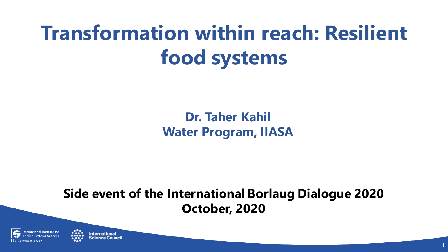## **Transformation within reach: Resilient food systems**

**Dr. Taher Kahil Water Program, IIASA**

**Side event of the International Borlaug Dialogue 2020 October, 2020**



**International**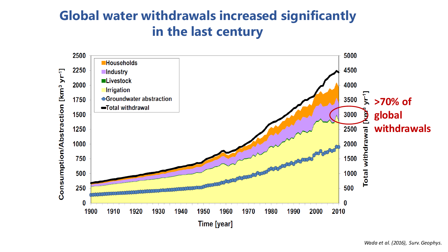#### **Global water withdrawals increased significantly in the last century**

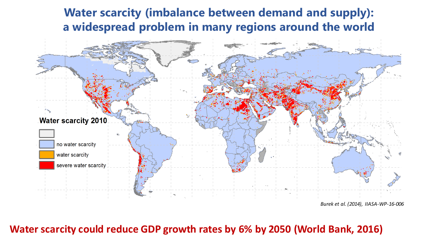#### **Water scarcity (imbalance between demand and supply): a widespread problem in many regions around the world**



**Water scarcity could reduce GDP growth rates by 6% by 2050 (World Bank, 2016)**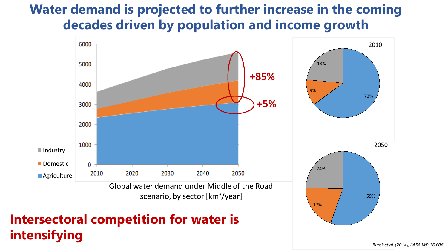#### **Water demand is projected to further increase in the coming decades driven by population and income growth**



**intensifying** 

*Burek et al. (2014), IIASA-WP-16-006*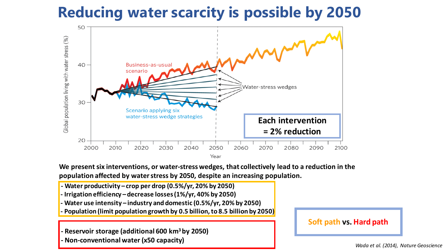### **Reducing water scarcity is possible by 2050**



**We present six interventions, or water-stress wedges, that collectively lead to a reduction in the population affected by water stress by 2050, despite an increasing population.** 

- **- Water productivity – crop per drop (0.5%/yr, 20% by 2050)**
- **- Irrigation efficiency –decrease losses (1%/yr, 40% by 2050)**
- **- Water use intensity – industry and domestic (0.5%/yr, 20% by 2050)**
- **- Population (limit population growth by 0.5 billion, to 8.5 billion by 2050)**

**- Reservoir storage (additional 600 km3 by 2050)**

**- Non-conventional water (x50 capacity)** *Wada et al. (2014), Nature Geoscience*

**Soft path vs. Hard path**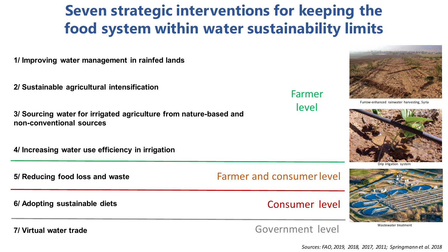### **Seven strategic interventions for keeping the food system within water sustainability limits**

**1/ Improving water management in rainfed lands** 

**2/ Sustainable agricultural intensification**

**3/ Sourcing water for irrigated agriculture from nature-based and non-conventional sources**

**4/ Increasing water use efficiency in irrigation**

**5/ Reducing food loss and waste** 

Farmer and consumer level

**6/ Adopting sustainable diets**

**7/ Virtual water trade**

Government level

Consumer level

Furrow-enhanced rainwater harvesting, Syria





Wastewater treatment

Farmer level